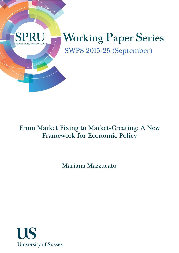

# From Market Fixing to Market-Creating: A New Framework for Economic Policy

Mariana Mazzucato

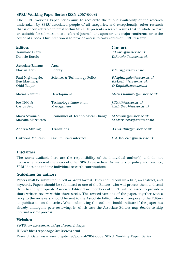# SPRU Working Paper Series (ISSN 2057-6668)

The SPRU Working Paper Series aims to accelerate the public availability of the research undertaken by SPRU-associated people of all categories, and exceptionally, other research that is of considerable interest within SPRU. It presents research results that in whole or part are suitable for submission to a refereed journal, to a sponsor, to a major conference or to the editor of a book. Our intention is to provide access to early copies of SPRU research.

| <b>Editors</b>                                          |                                            | <b>Contact</b>                                                              |
|---------------------------------------------------------|--------------------------------------------|-----------------------------------------------------------------------------|
| <b>Tommaso Ciarli</b>                                   |                                            | T.Ciarli@sussex.ac.uk                                                       |
| Daniele Rotolo                                          |                                            | D.Rotolo@sussex.ac.uk                                                       |
| <b>Associate Editors</b>                                | Area                                       |                                                                             |
| <b>Florian Kern</b>                                     | <b>Energy</b>                              | F.Kern@sussex.ac.uk                                                         |
| Paul Nightingale,<br>Ben Martin, &<br><b>Ohid Yaqub</b> | Science, & Technology Policy               | P.Nightingale@sussex.ac.uk<br>B.Martin@sussex.ac.uk<br>O.Yaqub@sussex.ac.uk |
| <b>Matias Ramirez</b>                                   | Development                                | Matias.Ramirez@sussex.ac.uk                                                 |
| Joe Tidd &<br><b>Carlos Sato</b>                        | <b>Technology Innovation</b><br>Management | J.Tidd@sussex.ac.uk<br>C.E.Y.Sato@sussex.ac.uk                              |
| Maria Savona &<br>Mariana Mazzucato                     | <b>Economics of Technological Change</b>   | M.Savona@sussex.ac.uk<br>M.Mazzucato@sussex.ac.uk                           |
| <b>Andrew Stirling</b>                                  | <b>Transitions</b>                         | A.C.Stirling@sussex.ac.uk                                                   |
| <b>Caitriona McLeish</b>                                | Civil military interface                   | C.A.McLeish@sussex.ac.uk                                                    |

#### Disclaimer

The works available here are the responsibility of the individual author(s) and do not necessarily represent the views of other SPRU researchers. As matters of policy and practice, SPRU does not endorse individual research contributions.

#### Guidelines for authors

Papers shall be submitted in pdf or Word format. They should contain a title, an abstract, and keywords. Papers should be submitted to one of the Editors, who will process them and send them to the appropriate Associate Editor. Two members of SPRU will be asked to provide a short written review within three weeks. The revised versions of the paper, together with a reply to the reviewers, should be sent to the Associate Editor, who will propose to the Editors its publication on the series. When submitting the authors should indicate if the paper has already undergone peer-reviewing, in which case the Associate Editors may decide to skip internal review process.

### **Websites**

SWPS: www.sussex.ac.uk/spru/research/swps IDEAS: ideas.repec.org/s/sru/ssewps.html Research Gate: www.researchgate.net/journal/2057-6668\_SPRU\_Working\_Paper\_Series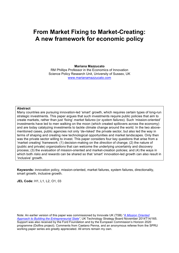# **From Market Fixing to Market-Creating: A new framework for economic policy**

#### **Mariana Mazzucato**

RM Phillips Professor in the Economics of Innovation Science Policy Research Unit, University of Sussex, UK www.marianamazzucato.com

#### **Abstract**

Many countries are pursuing innovation-led 'smart' growth, which requires certain types of long-run strategic investments. This paper argues that such investments require public policies that aim to create markets, rather than just 'fixing' *market failures* (or *system failures*). Such 'mission-oriented' investments have led to men walking on the moon (which created spillovers across the economy) and are today catalyzing investments to tackle climate change around the world. In the two abovementioned cases, public agencies not only 'de-risked' the private sector, but also led the way in terms of shaping and creating new technological opportunities and market landscapes. Only then was the private sector willing to invest. This paper considers four key questions that arise from a 'market creating' framework: (1) decision-making on the *direction* of change; (2) the nature of (public and private) *organizations* that can welcome the underlying uncertainty and discovery process; (3) the *evaluation* of mission-oriented and market-creation policies; and (4) the ways in which both *risks and rewards* can be shared so that 'smart' innovation-led growth can also result in 'inclusive' growth.

**Keywords:** innovation policy, mission-oriented, market failures, system failures, directionality, smart growth, inclusive growth.

**JEL Code:** H1, L1, L2, O1, 03

Note: An earlier version of this paper was commissioned by Innovate UK (TSB) *"A Mission Oriented Approach to Building the Entrepreneurial State"*, UK Technology Strategy Board November 2014T14/165. Support was also received by the Ford Foundation and by the European Commission's Horizon 2020 programme (Dolfins project). Comments from Caetano Penna, and an anonymous referee from the SPRU working paper series are greatly appreciated. All errors remain my own.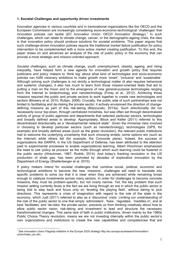#### **1. Societal Challenges and opportunity driven investments**

Innovation agencies in various countries and in transnational organizations like the OECD and the European Commission are increasingly considering socio-economic-technological 'challenges' that innovation policies can tackle (*EC Innovation Union*; *OECD Innovation Strategy*). <sup>1</sup> In such challenges, which can relate to climate change, cancer, or the demographic-ageing crisis, the idea is that innovation policy should produce solutions for societal problems. This paper argues that such challenge-driven innovation policies require the traditional *market failure* justification for policy intervention to be complemented with a more active *market creating* justification. To this end, the paper draws on and advances an analysis of the role of public policy in the economy that can provide a more strategic and *mission-oriented* approach.

*Societal challenges,* such as climate change, youth unemployment, obesity, ageing, and rising inequality, have helped form a new agenda for innovation and growth policy that requires politicians and policy makers to 'think big' about what kind of technologies and socio-economic policies can fulfill visionary ambitions to make growth more 'smart', 'inclusive' and 'sustainable'. Although solving such challenges is not strictly a technological matter (it also requires behavioral and systemic changes), it also has much to learn from those mission-oriented feats that led to putting a man on the moon and to the emergence of new general-purpose technologies ranging from the Internet to biotechnology and nanotechnology (Foray et al., 2012). Achieving those missions required the public and private sectors to work together to create new technologies and sectors (Mowery et al. 2010; Ruttan, 2006). Crucially, the public side of such partnerships was not limited to facilitating and de-risking the private sector; it actively envisioned the direction of changedefining missions as part of this risk-taking (Mazzucato, 2013a). Such *directionality* did not necessarily occur top-down, through centralized ministries, but was often set through decentralized activity of group of public agencies and departments that selected particular sectors, technologies and broadly defined areas to develop. Appropriately, Block and Keller (2011) referred to this decentralized directionality as a "developmental *network* state". Given the immense risks involved in choosing to develop particular sectors (such as nanotechnology), technologies (GPS, for example) and broadly defined areas (such as the green revolution), the relevant public institutions had to welcome the underlying uncertainty that such choosing entails; some options win (such as the Internet) while others fail (for example, the Concorde plane). Indeed, the success of organizations like DARPA, in the US Department of Defense, has been attributed to the attention paid to experimental processes to enable organizational learning. Albert Hirschman emphasized the need to use 'policy as *process*' as the motto through which such learning could be fostered in the public sector (Hirschman, 1967; Rodrik, 2014). And today's fracking revolution in the US production of shale gas, has been promoted by decades of explorative innovaiton by the Department of Energy (Shellenberger et al. 2010).

If policy makers intend for societal challenges that combine social, political, economic and technological ambitions to become the new 'missions', challenges will need to translate into specific problems to solve (so that it is clear when they are achieved) while remaining broad enough to catalyze investments across many sectors. In order for challenges to become concrete missions, they must be problem-specific, but not overly narrow. Yet, the key problem that such mission setting currently faces is the fact we are living through an era in which the public sector is being told to step back and focus only on 'leveling the playing field', without daring to pick directions. This represents a crisis of imagination with regard to the role of the state in the economy, which Judt (2011) referred to also as a 'discursive' crisis. Limiting our understanding of the role of the public sector to one that simply 'administers', 'fixes', 'regulates', 'meddles in', and at best 'facilitates' and 'de-risks' the private sector, prevents us from thinking creatively about how to allow public sector vision, risk-taking and investment to lead and structure the necessary transformational changes. This same lack of faith in public institutions, driven mainly by the 1980s Public Choice Theory revolution, means we are not investing internally within the public sector's own organizations and institutions to create the new capabilities and competencies that are

 <sup>1</sup> See *Innovation Union Flagship Initiative* in the *Europe 2020 strategy* http://ec.europa.eu/research/innovationunion/index\_en.cfm.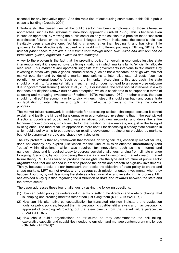essential for any innovative agent. And the rapid rise of outsourcing contributes to this fall in public capacity building (Crouch, 2004).

Unfortunately, the biased view of the public sector has been symptomatic of those alternative approaches, such as the 'systems of innovation' approach (Lundvall, 1992). This is because even in such an approach, by viewing the public sector as only the solution to a problem that arises from coordination failures or the need to create linkages between institutions, the sector's role has inevitably been a passive one, facilitating change, rather than leading it, and has given little guidance for the 'directionality' required in a world with different pathways (Stirling, 2014). *The present paper seeks to provide a new framework through which such vision and ambition can be formulated, guided, organized, evaluated and managed.* 

A key to the problem is the fact that the prevailing policy framework in economics justifies state intervention only if it is geared towards fixing situations in which markets fail to 'efficiently' allocate resources. This *market failure* approach suggests that governments intervene to 'fix' markets by investing in areas with 'public goods' characteristics (such as basic research, or drugs with minimal market potential) and by devising market mechanisms to internalize external costs (such as pollution) or external benefits (such as herd immunity). According to this approach, the state should only aim to fix a market failure if such an action does not lead to an even worse outcome due to "government failure" (Tullock et al., 2002). For instance, the state should intervene in a way that does not displace (crowd out) private enterprise, which is considered to be superior in terms of selecting and managing investments (Friedman, 1979; Aschauer, 1989). In other words, the state should not 'direct' the economy or try to pick winners; instead, it should step back and concentrate on facilitating private initiative and optimizing market performance to maximize the rate of progress.

The market failure framework is problematic for addressing societal challenges because it cannot explain and justify the kinds of transformative mission-oriented investments that in the past picked directions, coordinated public and private initiatives, built new networks, and drove the entire techno-economic process, which resulted in the creation of new markets, not just in the fixing of existing ones. The market failure approach is more useful for describing a steady state situation in which public policy aims to put patches on existing development trajectories provided by markets, but not to dynamically create and shape new trajectories.

The key problem is that any framework that focuses on fixing failures, especially market failures, does not embody any explicit justification for the kind of mission-oriented **directionality** (and 'routes' within directions), which was required for innovations such as the Internet and nanotechnology and is required today to address societal challenges ranging from climate change to ageing. Secondly, by not considering the state as a lead investor and market creator, market failure theory (MFT) has failed to produce the insights into the type and structure of public sector **organizations** that are needed in order to provide the depth and breadth of high-risk investments. Thirdly, because it lacks a clear framework that posits the objective of state policy to create and shape markets, MFT cannot **evaluate and assess** such mission-oriented investments when they happen. Fourthly, by not describing the state as a lead risk-taker and investor in this process, MFT has avoided a key question regarding the distribution of **risks and rewards** between the state and the private sector.

The paper addresses these four challenges by asking the following questions:

- (1) How can public policy be understood in terms of setting the direction and route of change; that is, shaping and creating markets rather than just fixing them (**D**IRECTIONALITY)?
- (2) How can this alternative conceptualization be translated into new indicators and evaluation tools for public policies, beyond the micro-economic cost/benefit analysis and macro-economic appraisal of crowding in/crowding out that stem directly from the market failure perspective (**E**VALUATION)?
- (3) How should public organizations be structured so they accommodate the risk taking, explorative capacity and capabilities needed to envision and manage contemporary challenges (**O**RGANIZATIONS)?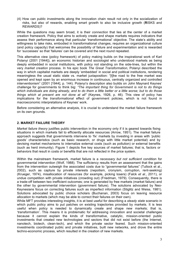(4) How can public investments along the innovation chain result not only in the socialization of risks, but also of rewards, enabling smart growth to also be inclusive growth (**R**ISKS and REWARDS)?

While the questions may seem broad, it is their *connection* that lies at the center of a market creation framework. Policy that aims to actively create and shape markets requires indicators that assess their performance along that particular 'transformational' objective. The state's ability and willingness to take risks, embodied in transformational changes, requires an organizational culture (and policy capacity) that welcomes the possibility of failure and experimentation and is rewarded for 'successes' so that 'failures' can be covered and the next round repeated.

This alternative view (policy framework) of policy making builds on the inspirational work of Karl Polanyi (2001 [1944]), an economic historian and sociologist who understood markets as being deeply embedded in social institutions, with policy not standing on the side-lines, but within the very *market creation* process. In his epic book *The Great Transformation*, Polanyi described the way in which capitalist markets are deeply 'embedded' in social and political institutions, rendering meaningless the usual static state vs. market juxtaposition: "[t]he road to the free market was opened and kept open by an enormous increase in continuous, centrally organized and controlled interventionism" (2001 [1944], p. 144). Polanyi's description also builds on John Maynard Keynes' challenge for governments to think big: *"The important thing for Government is not to do things which individuals are doing already, and to do them a little better or a little worse; but to do those things which at present are not done at all"* (Keynes, 1926, p. 46)*.* This view of policy has implications for the *transformational* effect of government policies, which is not found in macroeconomic interpretations of Keynes' work.

Before considering an alternative analysis, it is crucial to understand the market failure framework on its own grounds.

#### **2. MARKET FAILURE THEORY**

*Market failure theory* justifies public intervention in the economy only if it is geared towards fixing situations in which markets fail to efficiently allocate resources (Arrow, 1951). The market failure approach suggests that governments intervene to 'fix' markets by investing in areas with 'public goods' characteristics (such as basic research, or drugs with little market potential) and by devising market mechanisms to internalize external costs (such as pollution) or external benefits (such as herd immunity). Figure 1 depicts five key sources of market failures; that is, factors or behaviors that result in costs or benefits that are not reflected in the price system.

Within the mainstream framework, market failure is a *necessary but not sufficient* condition for governmental intervention (Wolf, 1988). The sufficiency results from an assessment that the gains from the intervention outweigh the associated costs due to "governmental failures" (Tullock et al., 2002), such as capture by private interests (nepotism, cronyism, corruption, rent-seeking) (Krueger, 1974), misallocation of resources (for example, picking losers) (Falck *et al.*, 2011), or undue competition with private initiatives (crowding out) (Friedman, 1979). Consequently, there is a trade-off between two inefficient outcomes; one is generated by free markets (market failure) and the other by governmental intervention (government failure). The solutions advocated by Neo-Keynesians focus on correcting failures such as imperfect information (Stiglitz and Weiss, 1981). Solutions advocated by public choice scholars (Buchanan, 2003) focus on leaving resource allocation to markets (which may be able to correct their failures on their own).

While MFT provides interesting insights, it is at best useful for describing a *steady state* scenario in which public policy aims to put patches on existing trajectories provided by markets. It is less useful when policy is needed to dynamically create and shape new markets; that is, 'transformation'. This means it is problematic for addressing innovation and societal challenges because it cannot explain the kinds of transformative, catalytic, mission-oriented public investments that created new technologies and sectors that did not exist before (the Internet, nanotech, biotech, clean-tech), and which the private sector feared. Such mission-oriented investments coordinated public and private initiatives, built new networks, and drove the entire techno-economic process, which resulted in the creation of new markets.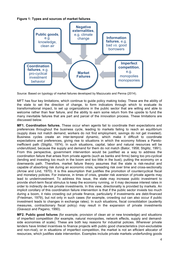



Source: Based on typology of market failures developed by Mazzucato and Penna (2014).

MFT has four key limitations, which continue to guide policy making today. These are the ability of the state to set the direction of change, to form indicators through which to evaluate its transformational impact, to set up organizations in the public sector that are willing and able to welcome rather than fear failure, and the ability to earn some return from the upside to fund the many inevitable failures that are part and parcel of the innovation process. These limitations are discussed below.

**MF1. Coordination failures.** These occur when agents fail to coordinate their expectations and preferences throughout the business cycle, leading to markets failing to reach an equilibrium (supply does not match demand, workers do not find employment, savings do not get invested). Business cycles create an inter-temporal dynamic, which make it difficult to coordinate expectations and preferences, giving rise to situations in which the economy follows a Paretoinefficient path (Stiglitz, 1974). In such situations, capital, labor and natural resources will be underutilized, because the supply and demand for them do not match (Bator, 1958; Stiglitz, 1991). From this perspective, government intervention would be justified as a way to address the coordination failure that arises from private agents (such as banks and firms) being too pro-cyclical (lending and investing too much in the boom and too little in the bust), putting the economy on a downwards path. Therefore, market failure theory assumes that the state is risk-neutral and capable of absorbing risk during an economic crisis, spreading risk over time and cross-sectionally (Arrow and Lind, 1970). It is this assumption that justifies the promotion of countercyclical fiscal and monetary policies. For instance, in times of crisis, greater risk aversion of private agents may lead to underinvestment. To address this issue, the state may increase public investment to provide short-term fiscal stimulus to keep the economy running, or it may decrease interest rates in order to indirectly de-risk private investments. In this view, directionality is provided by markets. An implicit corollary of this coordination failure intervention is that if the public sector invests too much during a boom, it risks crowding out private finance, particularly if investments are debt-financed (Friedman, 1979), but not only in such cases (for example, crowding out can also occur if public investment leads to changes in exchange rates). In such situations, fiscal consolidation (austerity measures, contractionary fiscal policy) may result in the expansion of private investments (Giavazzi and Pagano, 1990).

**MF2. Public good failures** (for example, provision of clean air or new knowledge) and situations of imperfect competition (for example, natural monopolies, network effects, supply and demandside economies of scale). These are both key reasons for industrial policies. Wherever private lenders have limited incentives to finance projects with public good characteristics (non-excludable and non-rival), or in situations of imperfect competition, the market is not an efficient allocator of resources, which justifies state intervention. Examples include private markets underfunding goods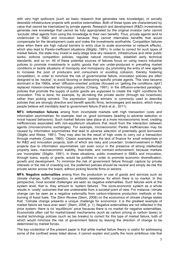with very high spillovers (such as basic research that generates new knowledge), or socially desirable infrastructure projects with positive externalities. Both of these types are characterized by value that cannot be internalized by private agents. Research and development (R&D) investments generate new knowledge that cannot be fully appropriated by the original investor (who cannot 'exclude' other agents from using the knowledge to their own benefit). Thus, private agents tend to underinvest in R&D and innovation because they cannot internalize benefits that would compensate for the development costs and make the investments worthwhile. Competition failures arise when there are high natural barriers to entry (due to scale economies or network effects), which also lead to Pareto-inefficient situations (Stiglitz, 1991). In order to correct for such types of market failure, the state may invest in early-stage blue sky research, infrastructure and other public works, enforce competition policies, regulate natural monopolies, establish early technical standards, and so on. All of these potential sources of failures focus on using macro industrial policies to promote investments in public goods that are under-produced in prevailing market conditions or tackle situations of monopoly and monopsony (by promoting the entry of new agents to increase the pool of producers and consumers or avoiding collusion, thereby fostering competition). In order to minimize the risk of governmental failure, innovation policies are often designed to be 'neutral', to avoid favoring or disfavoring specific private agents. This view became dominant in the 1990s, when 'diffusion-oriented' policies (focused on 'getting the conditions right') replaced mission-oriented technology policies (Chiang, 1991). In the diffusion-oriented paradigm, policies that promote the supply of public goods are supposed to create the 'right' conditions for innovation. This is done, for example, by de-risking the private sector (through tax incentives) rather than picking winners. The expression 'picking winners' is commonly used to describe policies that are strongly directive and benefit specific firms, technologies and sectors, which many people believe will inevitably lead to government failure (Falck et al., 2011).

**MF3. Information failures** arising from incomplete markets with high transaction costs and information asymmetries; for example, bad vs. good borrowers (leading to adverse selection or moral hazard behaviors). Such market failures take place at a more microeconomic level, creating inefficiencies associated with non-equilibrium situations that result from the interaction between agents (microeconomic exchanges). For example, microeconomic Pareto inefficiencies may be caused by information asymmetries that lead to adverse selection of potentially good borrowers (Stiglitz and Weiss, 1981). They may also be the result of high costs to carry out a transaction through markets (Coase, 1960). Classic examples are the lack of finance for small enterprises or for R&D and innovation projects, both of which are risky and uncertain. Underinvestment in R&D projects due to information asymmetries can even occur in the presence of strong intellectual property laws, macroeconomic stability, free-trade, and contract enforcement, because markets are 'incomplete' (Stiglitz, 1991). In these situations, public investment in SMEs and innovation, through loans, equity or grants, would be justified in order to promote economic diversification, growth and development. To minimize the risk of government failure through capture by private interests or the risk of crowding out, the preferred policies should be neutral and simply de-risk the private sector across the board, without picking favorite firms or sectors.

**MF4. Negative externalities** arising from the production or use of goods and services such as climate change, traffic congestion, or antibiotic resistance, for which there is no market. In this perspective, most societal challenges are seen as negative externalities. Such failures work at the system level; that is, they amount to 'system failures'. The socio-economic system as a whole results in 'costly' outcomes that are undesirable from a societal point of view. For instance, climate change can be seen as a negative externality from carbon-intensive production methods or the burning of fossil fuels. The *Stern Review* (Stern, 2006) on the economics of climate change states that: "Climate change presents a unique challenge for economics: it is the greatest example of market failure we have ever seen" (Stern, 2006, p. 1). Negative externalities are not reflected in the price system: there is no 'equilibrium' price because there is no market for negative externalities. Economists often call for market-based mechanisms (such as carbon pricing or carbon taxes) or neutral technology policies (such as tax breaks) to correct for this type of market failure, both of which would minimize the risk of government failure by leaving the direction of change to be determined by market forces.

The key contention of the present paper is that while market failure theory is useful for addressing some of the confined areas listed above, it cannot explain and justify the more ambitious role that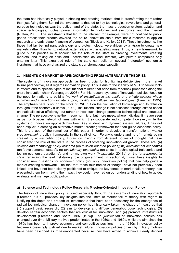the state has historically played in shaping and creating markets; that is, transforming them rather than just fixing them. Behind the investments that led to key technological revolutions and generalpurpose technologies was the active hand of the state: the mass production system, aviation and space technologies, nuclear power, information technologies and electronics, and the Internet (Ruttan, 2006). The investments that led to the Internet, for example, were not confined to public goods areas; their breadth covered the entire innovation chain from basic research to applied research and early-stage financing of companies (Block and Keller, 2011). These investments, like those that lay behind nanotechnology and biotechnology, were driven by a *vision* to create new markets rather than to fix network externalities within existing ones. Thus, a new framework to guide public policies must account for the role of the state in directing investments, creating markets, and taking on risks and uncertainties as lead investor, with private companies only entering later. This expanded role of the state can build on several 'heterodox' economics literatures that have emphasized the state's transformational capacity.

#### **3. INSIGHTS ON MARKET SHAPING/CREATING FROM ALTERNATIVE THEORIES**

The systems of innovation approach has been crucial for highlighting deficiencies in the market failure perspective, as it regards innovation policy. This is due to the inability of MFT to tackle lockin effects and to specific types of institutional failures that arise from feedback processes along the entire innovation chain (Verspagen, 2006). For this reason, systems of innovation policies focus on the need for nations to build a "*network of institutions in the public and private sectors whose activities and interactions initiate, import, modify and diffuse new technologies*" (Freeman 1995). The emphasis here is not on the stock of R&D but on the circulation of knowledge and its diffusion throughout the economy (Lundvall, 1992). Institutional change is not assessed through criteria based on static allocative efficiency, but rather on how such change promotes technological and structural change. The perspective is neither macro nor micro, but more meso, where individual firms are seen as part of broader network of firms with which they cooperate and compete. However, while the systems of innovation approach has been key in identifying dynamic system failures, it has not been explicit in creating an alternative market-creating framework that can guide economic policy. This is the goal of the remainder of this paper. In order to develop a transformational *market creation/shaping* policy framework, in the spirit of Karl Polanyi's understanding of markets being created by active public policy, I draw on insights from different bodies of thought that have considered the role of the state in the process of fostering innovation-led growth. These are: (a) *science and technology policy research* (on mission-oriented policies); (b) *development economics* (on 'developmental states'); (c) *evolutionary economics* (on shifts in technological trajectories and techno-economic paradigms); and (d) my own work (Mazzucato, 2013a) on the '*entrepreneurial state'* regarding the lead risk-taking role of government. In section 4, I use these insights to consider new questions for economic policy (not only innovation policy) that can help guide a market-creating framework. The fact that these four bodies of thought have not previously been linked, and have not been clearly positioned to critique the key tenets of market failure theory, has prevented them from having the impact they could have had on our understanding of how to guide, evaluate and manage public policy.

#### **a) Science and Technology Policy Research: Mission-Oriented Innovation Policy**

The history of innovation policy, studied especially through the systems of innovation approach (Freeman, 1995), provides key insights into the limits of market failure theory with regard to justifying the depth and breadth of investments that have been necessary for the emergence of radical technological change. Innovation policy has historically taken the shape of measures that (1) support basic research, (2) aim to develop and diffuse general-purpose technologies, (3) develop certain economic sectors that are crucial for innovation, and (4) promote infrastructural development (Freeman and Soete, 1997 [1974]). The *justification* of innovation policies has changed over time. Military motives predominated in the 1950s and 1960s, while the aim since the 1970s has been to improve economic and competitive positions. In the 1980s, innovation policy became increasingly justified due to market failure. Innovation policies driven by military motives have been described as mission-oriented because they have aimed to achieve clearly defined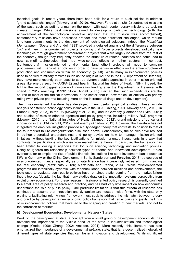technical goals. In recent years, there have been calls for a return to such policies to address 'grand societal challenges' (Mowery et al., 2010). However, Foray et al. (2012) contrasted missions of the past, such as putting a man on the moon, with such contemporary missions as tackling climate change. While past missions aimed to develop a particular technology (with the achievement of the technological objective signaling that the mission was accomplished), contemporary missions have addressed broader and more persistent challenges, which require long-term commitments to the development of technological solutions. Indeed, the *Maastricht Memorandum* (Soete and Arundel, 1993) provided a detailed analysis of the differences between 'old' and 'new' mission-oriented projects, showing that "older projects developed radically new technologies through government procurement projects that were largely isolated from the rest of the economy, though they frequently affected the structure of related industries and could lead to new spin-off technologies that had wide-spread effects on other sectors. In contrast, [contemporary] mission-oriented environmental [and other] projects will need to combine procurement with many other policies in order to have pervasive effects on the entire structure of production and consumption within an economy" (p. 50). While many mission-oriented policies used to be tied to military motives (such as the origin of DARPA in the US Department of Defense), they have more recently been used to set up dynamic public agencies in other mission-oriented areas like energy security (ARPA-E) and health (National Institutes of Health, NIH). Indeed, the NIH is the second biggest source of innovation funding after the Department of Defense, with spend in 2012 reaching US\$32 billion. Angell (2005) claimed that such expenditures are the source of most of the radical innovations in the sector; that is, new molecular entities with priority rating (with private pharma focusing more on the incremental drugs and on development).

The mission-oriented literature has developed many useful empirical studies. These include analysis of different technology policy initiatives in the USA (Chiang, 1991; Mowery et al., 2010), in France (Foray, 2003), in the UK (Mowery et al., 2010), and in Germany (Cantner and Pyka, 2001); and studies of mission-oriented agencies and policy programs, including military R&D programs (Mowery, 2010), the National Institutes of Health (Sampat, 2012); grand missions of agricultural innovation in the USA (Wright, 2012); and energy (Anadón, 2012). However, the literature has not integrated the empirical insights to provide a fully-fledged theory that contrasts its position to that of the four market failure categorizations discussed above. Consequently, the studies have resulted in ad-hoc theoretical understandings and policy advice on how to manage mission-oriented initiatives, without tackling the key justifications for mission-oriented investments in a way that contrasts the justifications which arise from market failure theory. In particular, the framework has been limited to looking at agencies that focus on science, technology and innovation policies. Doing so ignores the relationship between types of finance and innovation development. It also overlooks, for example, the rise of public financial institutions like state investment banks (such as KfW in Germany or the China Development Bank, Sanderson and Forsythe, 2013) as sources of mission-oriented finance, especially as private finance has increasingly retreated from financing the real economy (Mazzucato 2013b; Mazzucato and Penna, 2014). While mission-oriented programs are intrinsically dynamic, with feedback loops between missions and achievements, the tools used to evaluate such public policies have remained static, coming from the market failure theory toolbox (despite the fact that many studies draw on the innovation systems perspective from evolutionary economics). For these reasons, mission-oriented policy research is currently confined to a small area of policy research and practice, and has had very little impact on how economists understand the role of public policy. One particular limitation is that this stream of research has continued to assume that innovation and dynamism are housed inside firms, with the state only playing a facilitating role. A new framework must seek to address the mismatch between theory and practice by developing a new economic policy framework that can explain and justify the kinds of mission-oriented policies that have led to the shaping and creation of new markets, and not to the correction of markets.

#### **b) Development Economics: Developmental Network States**

Work on the developmental state, a concept from a small group of development economists, has revealed the importance of the 'visible hand' of the state in industrialization and technological change (Wade, 1990; Chang, 2002; Amsden, 2001). More recently, this literature has also emphasized the importance of a developmental *network* state; that is, a decentralized network of different types of state agencies that can foster innovation and development. While significant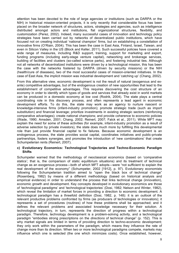attention has been devoted to the role of large agencies or institutions (such as DARPA or the NIH) in historical mission-oriented projects, it is only recently that considerable focus has been placed on the broader network of structures, actors, strategies and agencies, such as intelligence distributed amongst actors and institutions, flat organizational structures, flexibility, and customization (Perez, 2002). Indeed, many successful cases of innovation and technology policy strategies have been carried out by networks of decentralized public institutions, which have focused not on creating individual 'national champion' firms, but on establishing a constellation of innovative firms (O'Riain, 2004). This has been the case in East Asia, Finland, Israel, Taiwan, and even in Silicon Valley in the US (Block and Keller, 2011). Such successful policies have covered a wide range of measures, including R&D support, training, support for marketing and export, funding programs (including early-stage venture capital), networking and brokerage services, building of facilities and clusters (so-called science parks), and fostering industrial ties. Although not all networks of decentralized institutions were driven by a technological mission, this has been the case with the networks fostered by DARPA (driven by security missions) or the NIH (health/cure of diseases), two of the most successful cases of mission-oriented initiatives. In the case of East Asia, the implicit mission was industrial development and 'catching up' (Chang, 2002).

From this alternative view, economic development is not the result of natural (exogenous and exante) competitive advantages, but of the endogenous creation of new opportunities that lead to the establishment of competitive advantages. This requires discovering the cost structure of an economy in order to identify which types of goods and services that already exist in world markets can be produced in a domestic economy at low cost (Rodrik, 2004). The state plays a central coordinating role in this discovery process, and often represents a lead agent in economic development efforts. To do this, the state may work as an agency to nurture nascent or knowledge-intensive firms (infant-industry promotion); promote strategic trade (such as import substitution) and financial leverage; prioritize investments in existing strategic sectors (reinforcing comparative advantages); create national champions; and provide coherence to economic policies (Wade, 1990; Amsden, 2001; Chang, 2002; Reinert, 2007; Falck et al., 2011). While MFT may explain the need for some of these activities (for example, infant-industry promotion as a result of adverse selection by private investors), the state does much more by fulfilling this developmental role than just provide financial capital to fix failures. Because economic development is an endogenous process, the state provides social capital, coordinates initiatives and public-private partnerships, fosters synergies, and promotes the introduction of 'new combinations' that create Schumpeterian rents (Reinert, 2007).

#### **c) Evolutionary Economics: Technological Trajectories and Techno-Economic Paradigm Shifts**

Schumpeter warned that the methodology of neoclassical economics (based on 'comparative statics'; that is, the comparison of static equilibrium situations) and its treatment of technical change as an exogenous process—both of which MFT adopts—were "not sufficient to explain the real development of the economy" (Schumpeter, 2002 [1912], p. 97). Evolutionary economists following the Schumpeterian tradition aimed to "open the black box of technical change" (Rosenberg, 1982) by means of a different methodology (based on historical analysis and empirical evidence) in order to understand the process that links technical change (innovation), economic growth and development. Key concepts developed in evolutionary economics are those of 'technological paradigms' and 'technological trajectories' (Dosi, 1982; Nelson and Winter, 1982), which reveal the limitation of market forces in providing a direction to economic development. A technological paradigm has a threefold definition (Dosi, 1982, p. 148): it is an *outlook* of the relevant productive problems confronted by firms (as producers of technologies or innovators); it represents a set of procedures (routines) of how these problems shall be approached; and it defines the relevant problems and associated knowledge necessary for their solution. A technological trajectory, in turn, represents the direction of progress within a technological paradigm. Therefore, technology development is a problem-solving activity, and a technological paradigm "embodies strong prescriptions on the *directions* of technical change" (p. 152). This is why market signals are limited in terms of providing direction to techno-economic development; they only work within the parameters of the paradigm, which means they influence the rate of change more than its direction. When two or more technological paradigms compete, markets may influence which one is selected (the one which minimizes costs). Once established, however,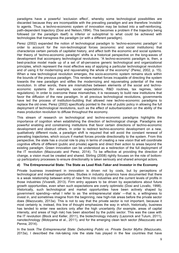paradigms have a powerful 'exclusion effect', whereby some technological possibilities are discarded because they are incompatible with the prevailing paradigm and are therefore 'invisible' to agents. Thus, a techno-economic system of innovation may be locked into a self-reinforcing, path-dependent trajectory (Dosi and Nelson,1994). This becomes a problem if the trajectory being followed (or the paradigm itself) is inferior or suboptimal to what could be achieved with technologies that transgress the paradigm (or with a different paradigm).

Perez (2002) expanded the notion of technological paradigm to 'techno-economic paradigm' in order to account for the non-technological forces (economic and social institutions) that characterize certain periods of capitalist history, and affect both the economic and social systems. Her theory of 'techno-economic paradigm' shifts is a historical perspective on the long-waves of development that accompany technological revolutions. "A techno-economic paradigm is, then, a best-practice model made up of a set of all-pervasive generic technological and organizational principles, which represent the most effective way of applying a particular technological revolution and of using it for modernizing and rejuvenating the whole of the economy" (Perez, 2002, p. 15). When a new technological revolution emerges, the socio-economic system remains stuck within the bounds of the previous paradigm. This renders market forces incapable of directing the system towards the new paradigm and stifles the modernizing and rejuvenating potential of the new revolution. In other words, there are mismatches between elements of the social and technoeconomic systems (for example, social expectations, R&D routines, tax regimes, labor regulations). In order to overcome these mismatches, it is necessary to build new institutions that favor the diffusion of the new paradigm. In all previous technological revolutions, governments have led the process of institution-building that allowed new techno-economic paradigms to replace the old ones. Perez (2002) specifically pointed to the role of public policy in allowing the full deployment of technological revolutions, such as the effect of suburbanization on the ability of the mass production revolution to diffuse throughout the economy.

This stream of research on technological and techno-economic paradigms highlights the importance of cognition when establishing the direction of technological change. Paradigms are powerful enabling and constraining institutions that favor certain directions of techno-economic development and obstruct others. In order to redirect techno-economic development on a new, qualitatively different route, a paradigm shift is required that will avoid the constant renewal of prevailing trajectories, which occurs if market forces provide directionality to the system. From this perspective, the state has a crucial role to play in terms of creating a new *vision* that will coordinate cognitive efforts of different (public and private) agents and direct their action to areas beyond the existing paradigm. Green innovation can be understood as a redirection of the full deployment of the IT revolution (Mazzucato and Perez, 2014). To be effective at providing the direction of change, a vision must be created and shared. Stirling (2008) rightly focuses on the role of bottomup participatory processes to ensure directionality is taken seriously and shared amongst actors.

#### **d) The Entrepreneurial State: The State as Lead Risk-Taker and Investor in the Economy**

Private business investment in innovation is driven not by costs, but by perceptions of technological and market opportunities. Studies in industry dynamics have documented that there is a weak relationship between entry of new firms into industries and the current levels of profits in those industries (Vivarelli, 2013). Firm entry appears to be driven by expectations about future growth opportunities, even when such expectations are overly optimistic (Dosi and Lovallo, 1998). Historically, such technological and market opportunities have been actively shaped by government spending—what I refer to as 'the entrepreneurial state' —that is, a willingness to invest in, and sometimes imagine from the beginning, new high-risk areas before the private sector does (Mazzucato, 2013a). This is not to say that the private sector is not important, because it most certainly is; instead, this line of thought emphasizes the way in which, historically, business has tended to enter new sectors only after the high uncertainty (for example, areas of capital intensity, and areas of high risk) has been absorbed by the public sector. This was the case with the IT revolution (Block and Keller, 2011), the biotechnology industry (Lazonick and Tulum, 2011), nanotechnology (Motoyama et al., 2011), and for the emerging clean tech sector (Mazzucato and Penna, 2014).

In the book *The Entrepreneurial State: Debunking Public vs. Private Sector Myths* (Mazzucato, 2013a), I described the risk-taking role the state has played in the few countries that have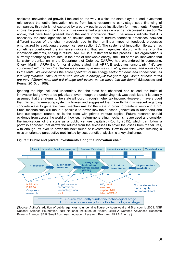achieved innovation-led growth. I focused on the way in which the state played a lead investment role across the entire innovation chain, from basic research to early-stage seed financing of companies; this role is not captured by a purely public good justification for investments. Figure 2 shows the presence of the kinds of mission-oriented agencies (in orange), discussed in section 3a above, that have been present along the entire innovation chain. The arrows indicate that it is necessary for such agencies to be flexible and able to nurture feedback processes between different stages of the chain (precisely due to the non-linear types of feedback processes emphasized by evolutionary economics; see section 3c). The systems of innovation literature has sometimes overlooked the immense risk-taking that such agencies absorb, with many of the innovation attempts, ending in failure. ARPA-E is a testament to this process. This organization is currently attempting to emulate, in the area of renewable energy, the kind of radical innovation that its sister organization in the Department of Defense, DARPA, has engendered in computing. Cheryl Martin, ARPA-E's former director, stated that ARPA-E welcomes uncertainty: "*We are concerned with framing the challenges of energy in new ways, inviting new eyes, and novel ideas to the table. We look across the entire spectrum of the energy sector for ideas and connections, as it is very dynamic. Think of what was 'known' in energy just five years ago*—*some of those truths are very different now, and will change and evolve as we move into the future*" (Mazzucato and Penna, 2015, p. 106).

Ignoring the high risk and uncertainty that the state has absorbed has caused the fruits of innovation-led growth to be privatized, even though the underlying risk was socialized. It is usually assumed that the returns to the state will occur through higher tax income. However, I have argued that this return-generating system is broken and suggested that more thinking is needed regarding concrete ways to generate direct mechanisms for the state in order to create a 'revolving fund'. Such mechanisms will make it possible to cover inevitable losses (innovation is uncertain) and fund subsequent rounds, as is the case with private venture capital. Future research should evidence from across the world on how such return-generating mechanisms are used and consider the implications of the state as a public venture capitalist (Rodrik, 2015), which can follow a portfolio approach that allows the returns from the successes to cover the losses from the failures, with enough left over to cover the next round of investments. How to do this, while retaining a mission-oriented perspective (not limited by cost-benefit analysis), is a key challenge.



#### Figure 2 **Public and private investments along the innovation chain**

(Source: Author's addition of public agencies to underlying figure by Auerswald and Branscomb 2003. NSF National Science Foundation, NIH National Institutes of Health, DARPA Defense Advanced Research Projects Agency, SBIR Small Business Innovation Research Program, ARPA-Energy.)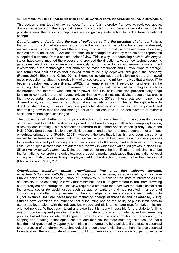#### **4. BEYOND MARKET FAILURE: ROUTES, ORGANIZATION, ASSESSMENT, AND REWARDS**

This section brings together key concepts from the four heterodox frameworks reviewed above, drawing especially on the empirical research conducted within these frameworks, in order to provide a new theoretical conceptualization for guiding state action to tackle transformational change.

*Directionality: understanding the role of policy as setting the direction of change.* Policies that aim to correct markets assume that once the sources of the failure have been addressed, market forces will efficiently direct the economy to a path of growth and development. However, markets are "blind" (Dosi, 1982) and the direction of change provided by markets often represents suboptimal outcomes from a societal point of view. This is why, in addressing *societal challenges,* states have sometimes led the process and provided the direction towards new techno-economic paradigms, which did not emerge spontaneously out of market forces. Governments made direct investments in the technologies that enabled the mass production and IT revolutions to emerge, and formulated bold policies that allowed them to be fully deployed throughout the economy (Ruttan, 2006; Block and Keller, 2011). Examples include suburbanization policies that allowed mass production to affect the productivity of all sectors, and the military motives that allowed IT to begin its deployment phase (Perez, 2002). Furthermore, in the IT revolution, and even in the emerging clean tech revolution, government not only funded the actual technologies (such as mainframes, the Internet, wind and solar power, and fuel cells), but also provided early-stage funding to companies that risk-averse private finance would not, and devised special tax credits that favored certain activities more than others (Mazzucato, 2013a). These facts seem to point to a different analytical problem facing policy makers: namely, choosing whether the right role is to direct or stand back, understanding *how* particular 'directions' and routes can be picked, and determining how to mobilize and manage activities that can lead to the achievement of dynamic social and technological challenges.

The problem is not whether or not to pick a direction, but how to learn from the successful picking of the past, and to enable the directions picked to be broad enough to allow bottom-up exploration, discovery and learning. This is sometimes referred to as 'smart specialization' (Foray, David and Hall, 2009). Smart specialization is explicitly a results- and outcome-oriented agenda, not an inputor outputs-oriented one (Rodrik, 2004). However, the fact that it has hitherto been based on a market failure framework means that smart specialization is, at best, seen as a 'discovery' process for stakeholders and policy-designers to jointly identify bottlenecks, market failures, and missing links. Smart specialization has not addressed the way in which innovation-led growth in places like Silicon Valley *actually happened.* Doing so requires not only the identification of missing links, but the formation of concrete strategies towards producing market landscapes that simply did not exist in the past. It also requires 'tilting' the playing field in the direction pursued, rather than 'leveling' it (Mazzucato and Perez, 2015).

*Organization: transform public organizations into ones that welcome learning, experimentation and self-discovery*. If brought to its extreme, as advocated by critics from Public Choice and the Chicago School of Economics, MFT calls for the state to intervene as little as possible in the economy, in a way that minimizes the risk of government failure, from crowding out to cronyism and corruption. This view requires a structure that *insulates* the public sector from the private sector (to avoid issues such as agency capture) and has resulted in a trend of 'outsourcing' that often rids government of the knowledge capacities and capabilities (in relation to IT, for example) that are necessary for managing change (Kakabadse and Kakabadse, 2002). Studies have examined the influence that outsourcing has on the ability of public institutions to attract top-level talent with the relevant knowledge and skills to manage transformative missionoriented policies. Without such talent and expertise it is nearly impossible for the state to fulfill its role of coordinating and providing direction to private actors when formulating and implementing policies that address societal challenges. In order to promote transformation of the economy, by shaping and creating technologies, sectors, and markets, the state must organize itself so that it has the intelligence (policy capacity) to think big and formulate bold policies. If the state is essential to the process of transformative technological and socio-economic change, then it is also essential to understand the appropriate structure of public organizations. Innovation is subject to extreme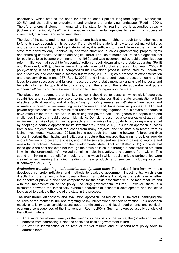uncertainty, which creates the need for both patience ("patient long-term capital", Mazzucato, 2013b) and the ability to experiment and explore the underlying landscape (Rodrik, 2004). Therefore, a crucial element in organizing the state for its 'roaring' role is absorptive capacity (Cohen and Levinthal, 1990), which enables governmental agencies to learn in a process of investment, discovery, and experimentation.

The size of the state, and hence its ability to earn back a return, either through tax or other means to fund its size, depends on its purpose. If the role of the state is simply to correct market failures and perform a subsidiary role to private initiative, it is sufficient to have little more than a minimal state that performs only unanimously approved functions, such as guaranteeing property rights and enforcing contracts (Atkinson and Stiglitz, 1980). The use of market failure as a diagnostic tool for public policies became prominent in the 1980s and was accompanied by public administration reform initiatives that sought to 'modernize' (often through downsizing) the state apparatus (Pollitt and Bouckaert, 2004), often in line with tenets from public choice theory (Buchanan, 2003). If policy-making is seen (i) as a non-probabilistic risk-taking process surmounted by uncertainty about technical and economic outcomes (Mazzucato, 2013a); (ii) as a process of experimentation and discovery (Hirschman, 1967; Rodrik, 2004); and (iii) as a continuous process of learning that leads to some successes and failures measured beyond static monetary analysis of the costs and benefits attached to quantifiable outcomes, then the *size* of the state apparatus and purely *economic efficiency* of the state are the wrong focuses for organizing the state.

The above point suggests that the key concern should be to establish which skills/resources, capabilities and structures are useful to increase the chances that a state organization will be effective, both at *learning* and at *establishing symbiotic partnerships with the private sector*, and ultimately succeed in implementing mission-oriented and transformative policies. Public and private organizations must re-rethink their roles when working together. Public-private partnerships have often limited the public part in 'de-risking' the private part. This ignores the capabilities and challenges involved in public sector risk taking. De-risking assumes a conservative strategy that minimizes the risks of picking losing projects and maximizes the probability of picking winners, but by adopting a portfolio approach for its investments (Rodrik, 2013). In such an approach, success from a few projects can cover the losses from many projects, and the state also learns from its losing investments (Mazzucato, 2013a). In this approach, the matching between failures and fixes is less important than having an institutional structure that ensures that winning policies provide enough 'rewards' to cover the losses, and that losses are used as learning cases to improve and renew future policies. Research on the developmental state (Block and Keller, 2011) suggests that these goals are best achieved not through top-down policies, but through a decentralized structure in which the organization(s) involved remain nimble, innovative, and dynamic from within. This strand of thinking can benefit from looking at the ways in which public–private partnerships were created when seeking the joint creation of new products and services, including vaccines (Chataway et al., 2007).

*Evaluation: transforming static metrics into dynamic ones.* The market failure framework has developed concrete indicators and methods to evaluate government investments, which stem directly from the framework itself, usually through a cost-benefit analysis that estimates whether the benefits of public intervention compensate for the costs associated with the market failure and with the implementation of the policy (including governmental failures). However, there is a mismatch between the intrinsically dynamic character of economic development and the static tools used to evaluate the role of the state in the process.

The mainstream diagnostics and evaluation approach (based on MFT) involves identifying the sources of the market failure and targeting policy interventions on their correction. This approach mostly entails *ex-ante* considerations about administrative and fiscal requirements and political– economic consequences of the intervention (Rodrik, 2004). Such an exercise usually consists of the following steps:

- An *ex-ante* cost–benefit analysis that weighs up the costs of the failure, the (private and social) benefits from addressing it, and the costs and risks of government failure.
- An *ex-ante* identification of sources of market failures and of second-best policy tools to address them.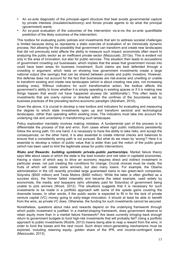- An *ex-ante* diagnostic of the principal–agent structure that best avoids governmental capture by private interests (insulation/autonomy) and forces private agents to do what the principal (government) wants.
- An *ex-post* evaluation of the outcomes of the intervention vis-à-vis the *ex-ante* quantifiable prediction of the likely outcomes of the intervention.

This toolbox for evaluating public policies and investments that aim to address societal challenges is limited because doing so represents a static exercise of evaluation of an intrinsically dynamic process. Not allowing for the possibility that government can transform and create new landscapes that did not previously exist affects the ability to measure such impact; economists often resort to analyzing the public sector as an inefficient private sector (Mazzucato, 2013a). This is evident not only in the area of innovation, but also for public services. This situation then leads to accusations of government crowding out businesses, which implies that the areas that government moves into could have been areas for business investment. Such claims are best defended through a crowding in argument, which rests on showing how government investments create a large national output (the savings) that can be shared between private and public investors. However, this defense does not account for the fact that businesses are risk-averse and unwilling or unable to transform existing and create new landscapes (which is about creating new pies, not increasing existing ones). Without *indicators* for such transformative action, the toolbox affects the government's ability to know whether it is simply operating in existing spaces or if it is making new things happen that would not have happened anyway (its 'additionality'). This often leads to investments that are overly narrow or directed within the confines of the boundaries set by business practices of the prevailing techno-economic paradigm (Abraham, 2010).

Given the above, it is crucial to develop a new toolbox and indicators for evaluating and measuring the degree to which state investments open up and transform sectoral and technological landscapes, rather than operating within existing ones. The indicators must take into account the underlying risk and uncertainty in transforming such landscapes.

Policy exploration inevitably involves making mistakes. A fundamental part of the process is to differentiate the process of trial and error, from cases where rigid public institutions persistently follow the wrong path. On one hand, it is necessary to have the ability to take risks, and accept the consequences; on the other hand, it is also essential to create internal checks and balances to ensure that a consistently wrong path is not pursued. But what do we mean by 'wrong'? Here it is essential to develop a notion of public value that is wider than just the notion of the public good (which has been used to limit the legitimate areas for public intervention).

*Risks and Rewards: building symbiotic private–public partnerships.* Market failure theory says little about cases in which the state is the *lead investor and risk taker* in capitalist economies. Having a vision of which way to drive an economy requires direct and indirect investment in particular areas, not just creating the conditions for change. Crucial choices must be made, the fruits of which will create some winners, but also many losers. For example, the Obama administration in the US recently provided large guaranteed loans to two green-tech companies, Solyndra (\$500 million) and Tesla Motors (\$465 million). While the latter is often glorified as a success story, the former failed miserably and became the latest example, used widely by economists, the media, and taxpayers (who ultimately paid for Solyndra) of government being unable to pick winners (Wood, 2012). This situations suggests that it is necessary for such investments to be made in a portfolio approach with some of the upside gains covering the downside losses. In other words, if the public sector is expected to fill in for the lack of private venture capital (VC) money going to early-stage innovation, it should at least be able to benefit from the wins, as private VC does. Otherwise, the funding for such investments cannot be secured.

Nonetheless, questions about risks and rewards depend on the underlying framework through which public investment is justified. In a market-shaping framework, does government deserve to retain equity more than in a market failure framework? Are taxes currently bringing back enough return to government budgets to fund high-risk investments that will probably fail? Using a portfolio approach to public investments (Rodrik, 2013) means being able to reap a reward from the wins, in order to fund the losses and the next round. Such direct return-generating mechanisms must be explored, including retaining equity, golden share of the IPR, and income-contingent loans (Mazzucato, 2013).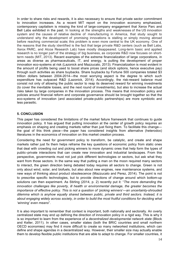In order to share risks and rewards, it is also necessary to ensure that private sector commitment to innovation increases. As a recent MIT report on the innovation economy emphasized, contemporary capitalism is missing the kind of large-company engagement that Xerox Parc and Bell Labs exhibited in the past. In looking at the strengths and weaknesses of the US innovation system and the causes of relative decline of manufacturing in America, that study sought to understand why the development of promising innovations is stalling or simply moving abroad before reaching commercial scale; this problem is even more central to the UK economy. One of the reasons that the study identified is the fact that large private R&D centers (such as Bell Labs, Xerox PARC, and Alcoa Research Lab) have mostly disappeared. Long-term basic and applied research is no longer part of the strategy of big business, as corporate R&D now focuses on shortterm needs (MIT, 2013). Recent examples of the extreme financialization of large corporations, in areas as diverse as pharmaceuticals, IT, and energy, is putting the development of proper innovation eco-systems at risk (Lazonick and Mazzucato, 2013). Financialization is most evident in the amount of profits being used to boost share prices (and stock options, hence executive pay) through such activities as share buybacks. Share buybacks by Fortune 500 companies totaled \$3 trillion dollars between 2004-2014—the most worrying aspect is the degree to which such expenditure has outpaced R&D (Lazonick, 2014). Accordingly, the risk-reward balance must consist not only of allowing the public sector to reap its deserved reward for winning investments (to cover the inevitable losses, and the next round of investments), but also to increase the actual risks taken by large companies in the innovation process. This means that innovation policy and policies around financial reform and corporate governance should be brought together so that the eco-systems of innovation (and associated private-public partnerships) are more symbiotic and less parasitic.

#### **5. CONCLUSION**

This paper has considered the limitations of the market failure framework that continues to guide innovation policy. It has argued that putting innovation at the center of growth policy requires an emphasis on shaping and creating markets rather than just fixing them. To facilitate this change the goal of this think piece—the paper has considered insights from alternative (heterodox) literatures in the economics of innovation on this market creation process.

Considering the need for government policy to transform, be catalytic, and create and shape markets rather just fix them helps reframe the key questions of economic policy from static ones that deal with crowding out and picking winners to more dynamic ones that help form the types of public–private interactions that can create new innovation and industrial landscapes. From this perspective, governments must not just pick different technologies or sectors, but ask what they want from those sectors. In the same way that putting a man on the moon required many sectors to interact, the green direction being debated today requires all sectors to change. Green is not only about wind, solar, and biofuels, but also about new engines, new maintenance systems, and new ways of thinking about product obsolescence (Mazzucato and Perez, 2014). The point is not to prescribe specific technologies, but to provide directions of change around which bottom-up solutions can then experiment. As Stirling (2014, p. 2) recently put it: "*The more demanding the innovation challenges like poverty, ill health or environmental damage, the greater becomes the importance of effective policy. This is not a question of 'picking winners'—an uncertainty-shrouded dilemma which is anyhow equally shared between public, private and third sectors. Instead, it is about engaging widely across society, in order to build the most fruitful conditions for deciding what 'winning' even means*".

It is also important to remember that context is important, both nationally and sectorally. An overly centralized state may end up defining the direction of innovation policy in a rigid way. This is why it is so important to learn from the experience of a *decentralized developmental network state* (Block and Keller, 2011). In other cases, smaller states (both the BRIC countries and small northern OECD economies) may find it more difficult to create so many networked institutions, which can define and shape agendas in a decentralized way. However, their smaller size may actually enable them to develop flexible public institutions that are able to adapt to change. For smaller countries, it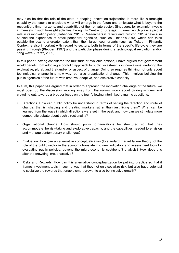may also be that the role of the state in shaping innovation trajectories is more like a foresight capability that seeks to anticipate what will emerge in the future and anticipate what is beyond the recognition, time-horizons, and capabilities of their private sector. Singapore, for example, invests immensely in such foresight activities through its Centre for Strategic Futures, which plays a pivotal role in its innovation policy (Habegger, 2010). Researchers (Breznitz and Ornston, 2013) have also studied the experience of small peripheral agencies, such as Finland's Sitra, which can think outside the box to a greater extent than their larger counterparts (such as Tekes in Finland). Context is also important with regard to sectors, both in terms of the specific life-cycle they are passing through (Klepper, 1997) and the particular phase during a technological revolution and/or 'long wave' (Perez, 2009).

In this paper, having considered the multitude of available options, I have argued that government would benefit from adopting a portfolio approach to public investments in innovations, nurturing the explorative, plural, and trial-and-error aspect of change. Doing so requires thinking not only about technological change in a new way, but also organizational change. This involves building the public agencies of the future with creative, adaptive, and explorative capacity.

In sum, this paper has argued that in order to approach the innovation challenge of the future, we must open up the discussion, moving away from the narrow worry about picking winners and crowding out, towards a broader focus on the four following interlinked dynamic questions:

- **D**irections. How can public policy be understood in terms of setting the direction and route of change; that is, shaping and creating markets rather than just fixing them? What can be learned from the ways in which directions were set in the past, and how can we stimulate more democratic debate about such directionality?
- **O**rganizational change. How should public organizations be structured so that they accommodate the risk-taking and explorative capacity, and the capabilities needed to envision and manage contemporary challenges?
- **E**valuation. How can an alternative conceptualization (to standard market failure theory) of the role of the public sector in the economy translate into new indicators and assessment tools for evaluating public policies, beyond the micro-economic cost/benefit analysis? How does this alter the crowding in/out narrative?
- **R**isks and Rewards. How can this alternative conceptualization be put into practice so that it frames investment tools in such a way that they not only socialize risk, but also have potential to socialize the rewards that enable smart growth to also be inclusive growth?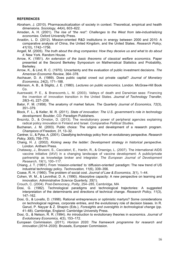#### **REFERENCES**

- Abraham, J. (2010). Pharmaceuticalization of society in context: Theoretical, empirical and health dimensions. *Sociology, 44*(4), 603–622.
- Amsden, A. H. (2001). *The rise of "the rest": Challenges to the West from late-industrializing economies*. Oxford University Press.
- Anadón, L. D. (2012). Mission-oriented R&D institutions in energy between 2000 and 2010: A comparative analysis of China, the United Kingdom, and the United States. *Research Policy, 41*(10), 1742–1756.
- Angell, M. (2005). *The truth about the drug companies: How they deceive us and what to do about it*. New York. Random House.
- Arrow, K. (1951). *An extension of the basic theorems of classical welfare economics.* Paper presented at the Second Berkeley Symposium on Mathematical Statistics and Probability, Berkeley.
- Arrow, K., & Lind, R. C. (1970). Uncertainty and the evaluation of public investment decisions. *The American Economic Review*, 364–378.
- Aschauer, D. A. (1989). Does public capital crowd out private capital? *Journal of Monetary Economics, 24*(2), 171–188.
- Atkinson, A. B., & Stiglitz, J. E. (1980). *Lectures on public economics*. London. McGraw-Hill Book Co.
- Auerswald, P. E., & Branscomb, L. M. (2003). Valleys of death and Darwinian seas: Financing the invention of innovation transition in the United States. *Journal of Technology Transfer, 28*(3–4)*,* 227–239.
- Bator, F. M. (1958). The anatomy of market failure. *The Quarterly Journal of Economics, 72*(3), 351–379.
- Block, F. L., & Keller, M. R. (2011). *State of innovation: The U.S. government's role in technology development*. Boulder, CO: Paradigm Publishers.
- Breznitz, D., & Ornston, D. (2013). The revolutionary power of peripheral agencies explaining radical policy innovation in Finland and Israel. *Comparative Political Studies*.
- Buchanan, J. M. (2003). Public choice: The origins and development of a research program. *Champions of Freedom, 31*, 13–32.
- Cantner, U., & Pyka, A. (2001). Classifying technology policy from an evolutionary perspective. *Research Policy, 30*(5), 759–775.
- Chang, H. J. (2002). *Kicking away the ladder: Development strategy in historical perspective*. London. Anthem Press.
- Chataway, J., Brusoni, S., Cacciatori, E., Hanlin, R., & Orsenigo, L. (2007). The international AIDS vaccine initiative (IAVI) in a changing landscape of vaccine development: A public/private partnership as knowledge broker and integrator. *The European Journal of Development Research, 19*(1), 100–117.
- Chiang, J. T. (1991). From 'mission-oriented' to 'diffusion-oriented' paradigm: The new trend of US industrial technology policy. *Technovation, 11*(6), 339–356.
- Coase, R. H. (1960). The problem of social cost. *Journal of Law & Economics, 3*(1), 1–44.
- Cohen, W. M., & Levinthal, D. A. (1990). Absorptive capacity: A new perspective on learning and innovation. *Administrative Science Quarterly, 35*(1).
- Crouch, C. (2004). Post-Democracy, *Polity*, 254–285, Cambridge, MA
- Dosi, G. (1982). Technological paradigms and technological trajectories: A suggested interpretation of the determinants and directions of technical change. *Research Policy, 11*(3), 147–162.
- Dosi, G., & Lovallo, D. (1998). Rational entrepreneurs or optimistic martyrs? Some considerations on technological regimes, corporate entries, and the evolutionary role of decision biases. In R. Garud, P. Nayyar & Z. Shapiro (Eds.), *Foresights and oversights in technological change* (pp. 41–68). Cambridge, England: Cambridge University Press.
- Dosi, G., & Nelson, R. R. (1994). An introduction to evolutionary theories in economics. *Journal of Evolutionary Economics, 4*(3), 153–172.
- European Commission. (2011). *Horizon 2020: The framework programme for research and innovation (2014–2020)*. Brussels, European Commission.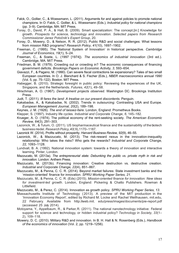- Falck, O., Gollier, C., & Woessmann, L. (2011). Arguments for and against policies to promote national champions. In O. Falck, C. Gollier, & L. Woessmann (Eds.), *Industrial policy for national champions* (pp. 3–9). Cambridge, MA: MIT Press.
- Foray, D., David, P. A., & Hall, B. (2009). Smart specialization: The concept.[in:] Knowledge for growth. *Prospects for science, technology and innovation. Selected papers from Research Commissioner Janez Potočnik's Expert Group*, 20.
- Foray, D., Mowery, D., & Nelson, R. R. (2012). Public R&D and social challenges: What lessons from mission R&D programs? *Research Policy, 41*(10), 1697–1902.
- Freeman, C. (1995). The 'National System of Innovation' in historical perspective. *Cambridge Journal of Economics, 19*(1), 5–24.
- Freeman, C., & Soete, L. (1997 [1974]). *The economics of industrial innovation* (3rd ed.). Cambridge, MA. MIT Press.
- Friedman, B. M. (1979). Crowding out or crowding in? The economic consequences of financing government deficits. *Brookings Papers on Economic Activity, 3*, 593–654.
- Giavazzi, F., & Pagano, M. (1990). Can severe fiscal contractions be expansionary? Tales of two small European countries. In O. J. Blanchard & S. Fischer (Eds.), *NBER macroeconomics annual 1990* (Vol. 5, pp. 75–122). Boston. MIT Press.
- Habegger, B. (2010). Strategic foresight in public policy: Reviewing the experiences of the UK, Singapore, and the Netherlands. *Futures*, *42*(1), 49–58.
- Hirschman, A. O. (1967). *Development projects observed.* Washington DC. Brookings Institution Press.
- Judt, T. (2011). *Ill fares the land: A treatise on our present discontents*. Penguin.
- Kakabadse, A., & Kakabadse, N. (2002). Trends in outsourcing: Contrasting USA and Europe. *European Management Journal, 20*(2), 189–198.
- Keynes, J. M. (1926). *The end of laissez-faire*. London, England: Prometheus Books.
- Klepper, S. (1997). Industry life cycles. *Industrial and Corporate Change*, *6*, 145–182.
- Krueger, A. O. (1974). The political economy of the rent-seeking society. *The American Economic Review, 64*(3), 291–303.
- Lazonick, W., & Tulum, O. (2011). US biopharmaceutical finance and the sustainability of the biotech business model. *ResearchPolicy, 40*( 9), 1170–1187.
- Lazonick W. (2014). Profits without prosperity. *Harvard Business Review, 92*(9), 46–55.
- Lazonick, W., & Mazzucato, M. (2013). The risk-reward nexus in the innovation-inequality relationship: Who takes the risks? Who gets the rewards? *Industrial and Corporate Change, 22*, 1093–1128.
- Lundvall, B. A. (1992). National innovation system: towards a theory of innovation and interactive learning. Pinter, London.
- Mazzucato, M. (2013a). *The entrepreneurial state: Debunking the public vs. private myth in risk and innovation.* London: Anthem Press.
- Mazzucato, M. (2013b). Financing innovation: Creative destruction vs. destructive creation. *Industrial and Corporate Change, 22*(4), 851–867.
- Mazzucato, M., & Penna, C. C. R. (2014). Beyond market failures: State investment banks and the 'mission-oriented' finance for innovation. *SPRU Working Paper Series, 21*.
- Mazzucato, M., & Penna, C. C. R. (Eds) (2015). *Mission-oriented finance for innovation: New ideas for investment-led growth*. London, England: Pickering & Chatto Publishers. Rowman & Littlefield.

Mazzucato, M., & Perez, C. (2014). Innovation as growth policy. *SPRU Working Paper Series, 13*.

- Massachusetts Institute of Technology (2013). A preview of the MIT production in the 'Innovation Economy Report', edited by Richard M. Locke and Rachel Wellhausen, mit.edu, 22 February. Available from http://web.mit. edu/press/images/documents/pie-report.pdf (accessed 25 July 2014).
- Motoyama, Y., Appelbaum, R., & Parker, R. (2011). The national nanotechnology initiative: Federal support for science and technology, or hidden industrial policy? *Technology in Society, 33*(1– 2), 109–118.
- Mowery, D. C. (2010). Military R&D and innovation. In B. H. Hall & N. Rosenberg (Eds.), *Handbook of the economics of innovation* (Vol. 2, pp. 1219–1256).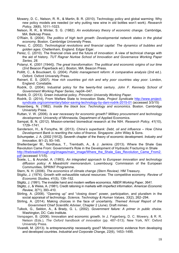- Mowery, D. C., Nelson, R. R., & Martin, B. R. (2010). Technology policy and global warming: Why new policy models are needed (or why putting new wine in old bottles won't work). *Research Policy, 39*(8), 1011–1023.
- Nelson, R. R., & Winter, S. G. (1982). *An evolutionary theory of economic change*. Cambridge, MA: Belknap Press.
- O'Riain, S. (2004). *The politics of high tech growth: Developmental network states in the global economy*. Boston. Cambridge University Press.
- Perez, C. (2002). *Technological revolutions and financial capital: The dynamics of bubbles and golden ages*. Cheltenham, England. Edgar Elgar.
- Perez, C. (2010). The financial crisis and the future of innovation: A view of technical change with the aid of history. *TUT Ragnar Nurkse School of Innovation and Governance Working Paper Series, 28*.
- Polanyi, K. (2001 [1944]). *The great transformation: The political and economic origins of our time* (2nd Beacon Paperback ed.). Boston, MA: Beacon Press.
- Pollitt, C., & Bouckaert, G. (2004). *Public management reform: A comparative analysis* (2nd ed.). Oxford. Oxford University Press.
- Reinert, E. S. (2007). *How rich countries got rich and why poor countries stay poor*. London, England: Constable.
- Rodrik, D. (2004). Industrial policy for the twenty-first century. *John F. Kennedy School of Government Working Paper Series,* rwp04–047.
- Rodrik, D. (2013). Green industrial policy. *Princeton University Working Paper.*
- Rodrik, D. (2014), From Welfare State to Innovation State, *Project Syndicate* http://www.projectsyndicate.org/commentary/labor-saving-technology-by-dani-rodrik-2015-01 (accessed 3/3/15)
- Rosenberg, N. (1982). *Inside the black box: Technology and economics*. Boston. Cambridge University Press.
- Ruttan, V. W. (2006). *Is war necessary for economic growth? Military procurement and technology development.* University of Minnesota, Department of Applied Economics.
- Sampat, B. N. (2012). Mission-oriented biomedical research at the NIH. *Research Policy, 41*(10), 1729–1741.
- Sanderson, H., & Forsythe, M. (2013). *China's superbank: Debt, oil and influence – How China Development Bank is rewriting the rules of finance*. Singapore: John Wiley & Sons.
- Schumpeter, J. A. (2002 [1912]). Seventh chapter of the theory of economic development. *Industry and Innovation, 9*(1–2), 93–145.

Shellenberger M., Nordhaus, T., Trembath, A., & J. Jenkins (2013). Where the Shale Gas Revolution Came From: Government's Role in the Development of Hydraulic Fracturing in Shale http://thebreakthrough.org/images/main\_image/Where\_the\_Shale\_Gas\_Revolution\_Came\_From2. pdf (accessed 1/1/5).

- Soete, L., & Arundel, A. (1993). *An integrated approach to European innovation and technology diffusion policy: A Maastricht memorandum.* Luxembourg: Commission of the European Communities, SPRINT Programme.
- Stern, N. H. (2006). *The economics of climate change (Stern Review)*. HM Treasury.
- Stiglitz, J. (1974). Growth with exhaustible natural resources: The competitive economy. *Review of Economic Studies, 41*(5), 139–152.
- Stiglitz, J. (1991). The invisible hand and modern welfare economics. *NBER Working Paper, 3641.*
- Stiglitz, J., & Weiss, A. (1981). Credit rationing in markets with imperfect information. *American Economic Review, 3*(71), 393–410.
- Stirling, A. (2008). "Opening up" and "closing down" power, participation, and pluralism in the social appraisal of technology. *Science, Technology & Human Values, 33*(2), 262–294.
- Stirling, A. (2014). Making choices in the face of uncertainty. *Themed Annual Report of the Government Chief Scientific Adviser*, Chapter 2 (June). Draft mimeo.
- Tullock, G., Seldon, A., & Brady, G. L. (2002). *Government failure: A primer in public choice*. Washington, DC: Cato Institute.
- Verspagen, B. (2006). Innovation and economic growth. In J. Fagerberg, D. C. Mowery, & R. R. Nelson (Eds.), *The Oxford handbook of innovation* (pp. 487–513). New York, NY: Oxford University Press.
- Vivarelli, M. (2013). Is entrepreneurship necessarily good? Microeconomic evidence from developing and developed countries. *Industrial and Corporate Change, 22*(6), 1453–1495.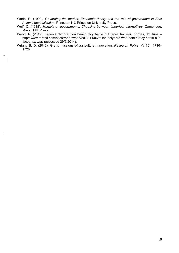- Wade, R. (1990). *Governing the market: Economic theory and the role of government in East Asian industrialization*. Princeton NJ. Princeton University Press.
- Wolf, C. (1988). *Markets or governments: Choosing between imperfect alternatives*. Cambridge, Mass.: MIT Press.
- Wood, R. (2012). Fallen Solyndra won bankruptcy battle but faces tax war. *Forbes*, 11 June http://www.forbes.com/sites/robertwood/2012/11/06/fallen-solyndra-won-bankruptcy-battle-butfaces-tax-war/ (accessed 29/6/2014).
- Wright, B. D. (2012). Grand missions of agricultural innovation. *Research Policy, 41*(10), 1716– 1728.

 $\ddot{r}$